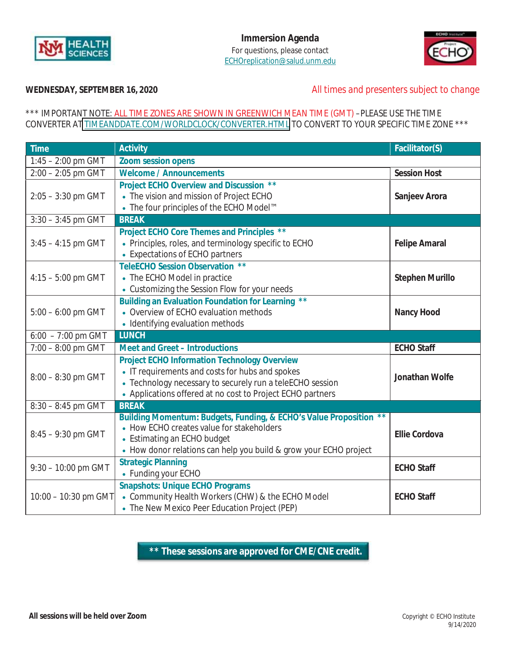



## **WEDNESDAY, SEPTEMBER 16, 2020** *All times and presenters subject to change*

### \*\*\* IMPORTANT NOTE: ALL TIME ZONES ARE SHOWN IN GREENWICH MEAN TIME (GMT) –PLEASE USE THE TIME CONVERTER AT TIMEANDDATE.COM/WORLDCLOCK/CONVERTER.HTML TO CONVERT TO YOUR SPECIFIC TIME ZONE \*\*\*

| <b>Time</b>           | <b>Activity</b>                                                                                                                                                                                                                   | Facilitator(S)         |
|-----------------------|-----------------------------------------------------------------------------------------------------------------------------------------------------------------------------------------------------------------------------------|------------------------|
| $1:45 - 2:00$ pm GMT  | <b>Zoom session opens</b>                                                                                                                                                                                                         |                        |
| $2:00 - 2:05$ pm GMT  | <b>Welcome / Announcements</b>                                                                                                                                                                                                    | <b>Session Host</b>    |
| $2:05 - 3:30$ pm GMT  | Project ECHO Overview and Discussion **<br>• The vision and mission of Project ECHO<br>• The four principles of the ECHO Model™                                                                                                   | Sanjeev Arora          |
| $3:30 - 3:45$ pm GMT  | <b>BREAK</b>                                                                                                                                                                                                                      |                        |
| $3:45 - 4:15$ pm GMT  | Project ECHO Core Themes and Principles **<br>• Principles, roles, and terminology specific to ECHO<br>• Expectations of ECHO partners                                                                                            | <b>Felipe Amaral</b>   |
| $4:15 - 5:00$ pm GMT  | <b>TeleECHO Session Observation **</b><br>• The ECHO Model in practice<br>• Customizing the Session Flow for your needs                                                                                                           | <b>Stephen Murillo</b> |
| $5:00 - 6:00$ pm GMT  | <b>Building an Evaluation Foundation for Learning **</b><br>• Overview of ECHO evaluation methods<br>• Identifying evaluation methods                                                                                             | <b>Nancy Hood</b>      |
| $6:00 - 7:00$ pm GMT  | <b>LUNCH</b>                                                                                                                                                                                                                      |                        |
| $7:00 - 8:00$ pm GMT  | <b>Meet and Greet - Introductions</b>                                                                                                                                                                                             | <b>ECHO Staff</b>      |
| $8:00 - 8:30$ pm GMT  | <b>Project ECHO Information Technology Overview</b><br>• IT requirements and costs for hubs and spokes<br>• Technology necessary to securely run a teleECHO session<br>• Applications offered at no cost to Project ECHO partners | Jonathan Wolfe         |
| $8:30 - 8:45$ pm GMT  | <b>BREAK</b>                                                                                                                                                                                                                      |                        |
| $8:45 - 9:30$ pm GMT  | Building Momentum: Budgets, Funding, & ECHO's Value Proposition **<br>• How ECHO creates value for stakeholders<br>• Estimating an ECHO budget<br>• How donor relations can help you build & grow your ECHO project               | <b>Ellie Cordova</b>   |
| $9:30 - 10:00$ pm GMT | <b>Strategic Planning</b><br>• Funding your ECHO                                                                                                                                                                                  | <b>ECHO Staff</b>      |
| 10:00 - 10:30 pm GMT  | <b>Snapshots: Unique ECHO Programs</b><br>• Community Health Workers (CHW) & the ECHO Model<br>• The New Mexico Peer Education Project (PEP)                                                                                      | <b>ECHO Staff</b>      |

**\*\* These sessions are approved for CME/CNE credit.**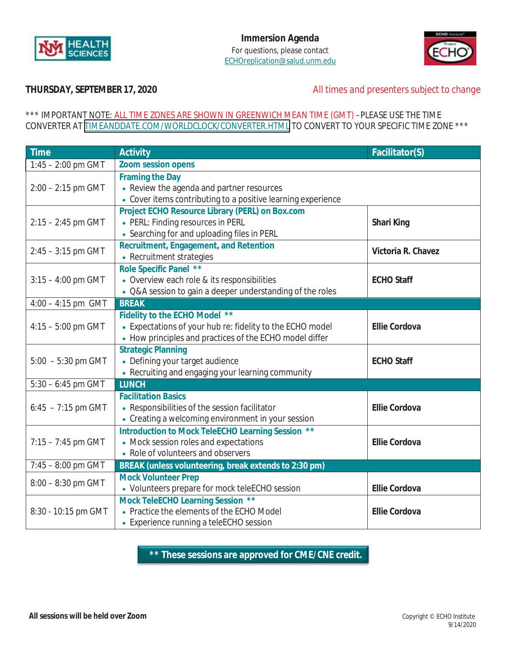



# **THURSDAY, SEPTEMBER 17, 2020** *All times and presenters subject to change*

## \*\*\* IMPORTANT NOTE: ALL TIME ZONES ARE SHOWN IN GREENWICH MEAN TIME (GMT) –PLEASE USE THE TIME CONVERTER AT TIMEANDDATE.COM/WORLDCLOCK/CONVERTER.HTML TO CONVERT TO YOUR SPECIFIC TIME ZONE \*\*\*

| <b>Time</b>          | <b>Activity</b>                                                                                                                                       | Facilitator(S)       |
|----------------------|-------------------------------------------------------------------------------------------------------------------------------------------------------|----------------------|
| $1:45 - 2:00$ pm GMT | <b>Zoom session opens</b>                                                                                                                             |                      |
| $2:00 - 2:15$ pm GMT | <b>Framing the Day</b><br>• Review the agenda and partner resources<br>• Cover items contributing to a positive learning experience                   |                      |
| $2:15 - 2:45$ pm GMT | Project ECHO Resource Library (PERL) on Box.com<br>• PERL: Finding resources in PERL<br>• Searching for and uploading files in PERL                   | Shari King           |
| $2:45 - 3:15$ pm GMT | Recruitment, Engagement, and Retention<br>• Recruitment strategies                                                                                    | Victoria R. Chavez   |
| $3:15 - 4:00$ pm GMT | Role Specific Panel **<br>• Overview each role & its responsibilities<br>• Q&A session to gain a deeper understanding of the roles                    | <b>ECHO Staff</b>    |
| $4:00 - 4:15$ pm GMT | <b>BREAK</b>                                                                                                                                          |                      |
| $4:15 - 5:00$ pm GMT | Fidelity to the ECHO Model **<br>• Expectations of your hub re: fidelity to the ECHO model<br>• How principles and practices of the ECHO model differ | <b>Ellie Cordova</b> |
| $5:00 - 5:30$ pm GMT | <b>Strategic Planning</b><br>• Defining your target audience<br>• Recruiting and engaging your learning community                                     | <b>ECHO Staff</b>    |
| $5:30 - 6:45$ pm GMT | <b>LUNCH</b>                                                                                                                                          |                      |
| $6:45 - 7:15$ pm GMT | <b>Facilitation Basics</b><br>• Responsibilities of the session facilitator<br>• Creating a welcoming environment in your session                     | <b>Ellie Cordova</b> |
| $7:15 - 7:45$ pm GMT | Introduction to Mock TeleECHO Learning Session **<br>• Mock session roles and expectations<br>• Role of volunteers and observers                      | <b>Ellie Cordova</b> |
| $7:45 - 8:00$ pm GMT | BREAK (unless volunteering, break extends to 2:30 pm)                                                                                                 |                      |
| $8:00 - 8:30$ pm GMT | <b>Mock Volunteer Prep</b><br>• Volunteers prepare for mock teleECHO session                                                                          | <b>Ellie Cordova</b> |
| 8:30 - 10:15 pm GMT  | Mock TeleECHO Learning Session **<br>• Practice the elements of the ECHO Model<br>• Experience running a teleECHO session                             | <b>Ellie Cordova</b> |

**\*\* These sessions are approved for CME/CNE credit.**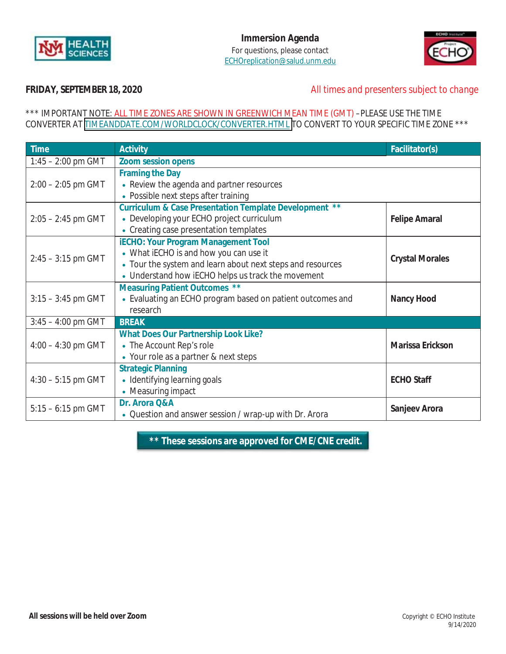



# **FRIDAY, SEPTEMBER 18, 2020** *All times and presenters subject to change*

## \*\*\* IMPORTANT NOTE: ALL TIME ZONES ARE SHOWN IN GREENWICH MEAN TIME (GMT) –PLEASE USE THE TIME CONVERTER AT TIMEANDDATE.COM/WORLDCLOCK/CONVERTER.HTML TO CONVERT TO YOUR SPECIFIC TIME ZONE \*\*\*

| <b>Time</b>          | <b>Activity</b>                                                                                                                                                                                          | Facilitator(s)         |
|----------------------|----------------------------------------------------------------------------------------------------------------------------------------------------------------------------------------------------------|------------------------|
| $1:45 - 2:00$ pm GMT | <b>Zoom session opens</b>                                                                                                                                                                                |                        |
| $2:00 - 2:05$ pm GMT | <b>Framing the Day</b><br>• Review the agenda and partner resources<br>• Possible next steps after training                                                                                              |                        |
| $2:05 - 2:45$ pm GMT | Curriculum & Case Presentation Template Development **<br>• Developing your ECHO project curriculum<br>• Creating case presentation templates                                                            | <b>Felipe Amaral</b>   |
| $2:45 - 3:15$ pm GMT | <b>iECHO: Your Program Management Tool</b><br>• What iECHO is and how you can use it<br>• Tour the system and learn about next steps and resources<br>• Understand how IECHO helps us track the movement | <b>Crystal Morales</b> |
| $3:15 - 3:45$ pm GMT | <b>Measuring Patient Outcomes **</b><br>• Evaluating an ECHO program based on patient outcomes and<br>research                                                                                           | <b>Nancy Hood</b>      |
| $3:45 - 4:00$ pm GMT | <b>BREAK</b>                                                                                                                                                                                             |                        |
| $4:00 - 4:30$ pm GMT | <b>What Does Our Partnership Look Like?</b><br>• The Account Rep's role<br>• Your role as a partner & next steps                                                                                         | Marissa Erickson       |
| $4:30 - 5:15$ pm GMT | <b>Strategic Planning</b><br>• Identifying learning goals<br>• Measuring impact                                                                                                                          | <b>ECHO Staff</b>      |
| $5:15 - 6:15$ pm GMT | Dr. Arora Q&A<br>• Question and answer session / wrap-up with Dr. Arora                                                                                                                                  | Sanjeev Arora          |

**\*\* These sessions are approved for CME/CNE credit.**